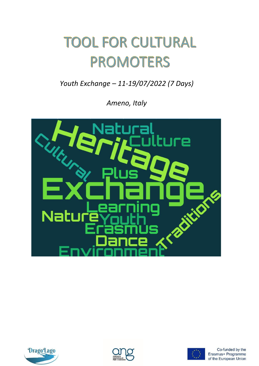## **TOOL FOR CULTURAL PROMOTERS**

*Youth Exchange – 11-19/07/2022 (7 Days)* 

*Ameno, Italy*







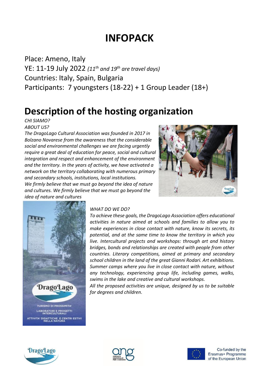#### **INFOPACK**

Place: Ameno, Italy YE: 11-19 July 2022 *(11 th and 19th are travel days)* Countries: Italy, Spain, Bulgaria Participants: 7 youngsters (18-22) + 1 Group Leader (18+)

#### **Description of the hosting organization**

*CHI SIAMO? ABOUT US?*

*The DragoLago Cultural Association was founded in 2017 in Bolzano Novarese from the awareness that the considerable social and environmental challenges we are facing urgently require a great deal of education for peace, social and cultural integration and respect and enhancement of the environment and the territory. In the years of activity, we have activated a network on the territory collaborating with numerous primary and secondary schools, institutions, local institutions. We firmly believe that we must go beyond the idea of nature and cultures. We firmly believe that we must go beyond the idea of nature and cultures*





#### *WHAT DO WE DO?*

*To achieve these goals, the DragoLago Association offers educational activities in nature aimed at schools and families to allow you to make experiences in close contact with nature, know its secrets, its potential, and at the same time to know the territory in which you live. Intercultural projects and workshops: through art and history bridges, bonds and relationships are created with people from other countries. Literary competitions, aimed at primary and secondary school children in the land of the great Gianni Rodari. Art exhibitions. Summer camps where you live in close contact with nature, without any technology, experiencing group life, including games, walks, swims in the lake and creative and cultural workshops.*

*All the proposed activities are unique, designed by us to be suitable for degrees and children.*





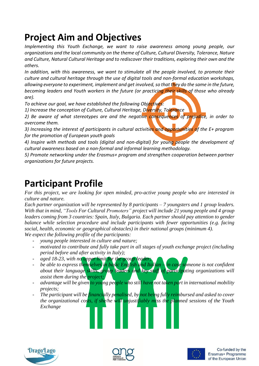#### **Project Aim and Objectives**

*Implementing this Youth Exchange, we want to raise awareness among young people, our organizations and the local community on the theme of Culture, Cultural Diversity, Tolerance, Nature and Culture, Natural Cultural Heritage and to rediscover their traditions, exploring their own and the others.*

*In addition, with this awareness, we want to stimulate all the people involved, to promote their culture and cultural heritage through the use of digital tools and non-formal education workshops, allowing everyone to experiment, implement and get involved,so that they do the same in the future, becoming leaders and Youth workers in the future (or practicing their skills of those who already are).*

*To achieve our goal, we have established the following Objectives:*

*1) Increase the conception of Culture, Cultural Heritage, Diversity, Tolerance*

*2) Be aware of what stereotypes are and the negative consequences of prejudice, in order to overcome them.*

*3) Increasing the interest of participants in cultural activities and opportunities of the E+ program for the promotion of European youth goals*

*4) Inspire with methods and tools (digital and non-digital) for young people the development of cultural awareness based on a non-formal and informal learning methodology.*

*5) Promote networking under the Erasmus+ program and strengthen cooperation between partner organizations for future projects.*

#### **Participant Profile**

*For this project, we are looking for open minded, pro-active young people who are interested in culture and nature.*

*Each partner organization will be represented by 8 participants – 7 youngsters and 1 group leaders. With that in mind, "Tools For Cultural Promoters" project will include 21 young people and 4 group leaders coming from 3 countries: Spain, Italy, Bulgaria. Each partner should pay attention to gender balance while selection procedure and include participants with fewer opportunities (e.g. facing social, health, economic or geographical obstacles) in their national groups (minimum 4).*

*We expect the following profile of the participants:*

- *young people interested in culture and nature;*
- *motivated to contribute and fully take part in all stages of youth exchange project (including period before and after activity in Italy);*
- *aged 18-23, with no upper limit for the group leader;*
- *be able to express themselves in basic English and Italian – in case someone is not confident about their language skills, group leaders and key staff of participating organizations will assist them during the project;*
- *advantage will be given to young people who still have not taken part in international mobility projects;*
- *The participant will be financially penalised, by not being fully reimbursed and asked to cover the organizational costs, if she/he will unjustifiably miss the planned sessions of the Youth Exchange*





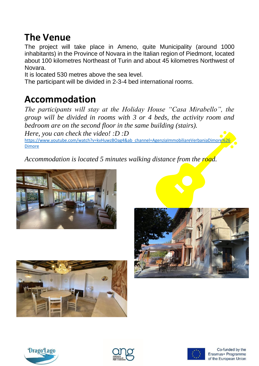#### **The Venue**

The project will take place in Ameno, quite Municipality (around 1000 inhabitants) in the Province of Novara in the Italian region of Piedmont, located about 100 kilometres Northeast of Turin and about 45 kilometres Northwest of Novara.

It is located 530 metres above the sea level.

The participant will be divided in 2-3-4 bed international rooms.

#### **Accommodation**

*The participants will stay at the Holiday House "Casa Mirabello", the group will be divided in rooms with 3 or 4 beds, the activity room and bedroom are on the second floor in the same building (stairs). Here, you can check the video! :D :D*

[https://www.youtube.com/watch?v=kvHuwzBOag4&ab\\_channel=AgenziaImmobiliareVerbaniaDimore%26](https://www.youtube.com/watch?v=kvHuwzBOag4&ab_channel=AgenziaImmobiliareVerbaniaDimore%26Dimore) [Dimore](https://www.youtube.com/watch?v=kvHuwzBOag4&ab_channel=AgenziaImmobiliareVerbaniaDimore%26Dimore)

*Accommodation is located 5 minutes walking distance from the road.*











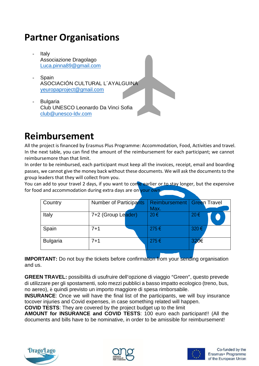#### **Partner Organisations**

- **Italy** Associazione Dragolago [Luca.pinna89@gmail.com](mailto:Luca.pinna89@gmail.com)
- **Spain** ASOCIACIÓN CULTURAL L´AYALGUINA [yeuropaproject@gmail.com](mailto:yeuropaproject@gmail.com)
- **Bulgaria** Club UNESCO Leonardo Da Vinci Sofia club@unesco-ldv.com

### **Reimbursement**

All the project is financed by Erasmus Plus Programme: Accommodation, Food, Activities and travel. In the next table, you can find the amount of the reimbursement for each participant; we cannot reimbursemore than that limit.

In order to be reimbursed, each participant must keep all the invoices, receipt, email and boarding passes, we cannot give the money back without these documents. We will ask the documents to the group leaders that they will collect from you.

You can add to your travel 2 days, if you want to come earlier or to stay longer, but the expensive for food and accommodation during extra days are on your own.

| Country         | <b>Number of Participants</b> | <b>Reimbursement</b> | Green Travel |
|-----------------|-------------------------------|----------------------|--------------|
|                 |                               | Max.                 |              |
| Italy           | 7+2 (Group Leader)            | $20 \in$             | $20 \in$     |
| Spain           | $7 + 1$                       | 275€                 | 320€         |
| <b>Bulgaria</b> | $7 + 1$                       | 275€                 | 320€         |

**IMPORTANT:** Do not buy the tickets before confirmation from your sending organisation and us.

**GREEN TRAVEL:** possibilità di usufruire dell'opzione di viaggio "Green", questo prevede di utilizzare per gli spostamenti, solo mezzi pubblici a basso impatto ecologico (treno, bus, no aereo), è quindi previsto un importo maggiore di spesa rimborsabile.

**INSURANCE:** Once we will have the final list of the participants, we will buy insurance tocover injuries and Covid expenses, in case something related will happen.

**COVID TESTS**: They are covered by the project budget up to the limit

**AMOUNT for INSURANCE and COVID TESTS**: 100 euro each participant!! (All the documents and bills have to be nominative, in order to be amissible for reimbursement!